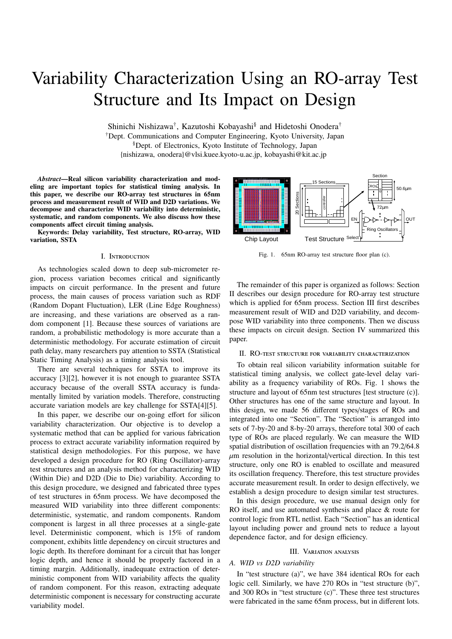# Variability Characterization Using an RO-array Test Structure and Its Impact on Design

Shinichi Nishizawa<sup>†</sup>, Kazutoshi Kobayashi<sup>§</sup> and Hidetoshi Onodera<sup>†</sup> †Dept. Communications and Computer Engineering, Kyoto University, Japan §Dept. of Electronics, Kyoto Institute of Technology, Japan {nishizawa, onodera}@vlsi.kuee.kyoto-u.ac.jp, kobayashi@kit.ac.jp

*Abstract*—Real silicon variability characterization and modeling are important topics for statistical timing analysis. In this paper, we describe our RO-array test structures in 65nm process and measurement result of WID and D2D variations. We decompose and characterize WID variability into deterministic, systematic, and random components. We also discuss how these components affect circuit timing analysis.

Keywords: Delay variability, Test structure, RO-array, WID variation, SSTA

#### I. Introduction

As technologies scaled down to deep sub-micrometer region, process variation becomes critical and significantly impacts on circuit performance. In the present and future process, the main causes of process variation such as RDF (Random Dopant Fluctuation), LER (Line Edge Roughness) are increasing, and these variations are observed as a random component [1]. Because these sources of variations are random, a probabilistic methodology is more accurate than a deterministic methodology. For accurate estimation of circuit path delay, many researchers pay attention to SSTA (Statistical Static Timing Analysis) as a timing analysis tool.

There are several techniques for SSTA to improve its accuracy [3][2], however it is not enough to guarantee SSTA accuracy because of the overall SSTA accuracy is fundamentally limited by variation models. Therefore, constructing accurate variation models are key challenge for SSTA[4][5].

In this paper, we describe our on-going effort for silicon variability characterization. Our objective is to develop a systematic method that can be applied for various fabrication process to extract accurate variability information required by statistical design methodologies. For this purpose, we have developed a design procedure for RO (Ring Oscillator)-array test structures and an analysis method for characterizing WID (Within Die) and D2D (Die to Die) variability. According to this design procedure, we designed and fabricated three types of test structures in 65nm process. We have decomposed the measured WID variability into three different components: deterministic, systematic, and random components. Random component is largest in all three processes at a single-gate level. Deterministic component, which is 15% of random component, exhibits little dependency on circuit structures and logic depth. Its therefore dominant for a circuit that has longer logic depth, and hence it should be properly factored in a timing margin. Additionally, inadequate extraction of deterministic component from WID variability affects the quality of random component. For this reason, extracting adequate deterministic component is necessary for constructing accurate variability model.



Fig. 1. 65nm RO-array test structure floor plan (c).

The remainder of this paper is organized as follows: Section II describes our design procedure for RO-array test structure which is applied for 65nm process. Section III first describes measurement result of WID and D2D variability, and decompose WID variability into three components. Then we discuss these impacts on circuit design. Section IV summarized this paper.

## II. RO-test structure for variability characterization

To obtain real silicon variability information suitable for statistical timing analysis, we collect gate-level delay variability as a frequency variability of ROs. Fig. 1 shows the structure and layout of 65nm test structures [test structure (c)]. Other structures has one of the same structure and layout. In this design, we made 56 different types/stages of ROs and integrated into one "Section". The "Section" is arranged into sets of 7-by-20 and 8-by-20 arrays, therefore total 300 of each type of ROs are placed regularly. We can measure the WID spatial distribution of oscillation frequencies with an 79.2/64.8  $\mu$ m resolution in the horizontal/vertical direction. In this test structure, only one RO is enabled to oscillate and measured its oscillation frequency. Therefore, this test structure provides accurate measurement result. In order to design effectively, we establish a design procedure to design similar test structures.

In this design procedure, we use manual design only for RO itself, and use automated synthesis and place & route for control logic from RTL netlist. Each "Section" has an identical layout including power and ground nets to reduce a layout dependence factor, and for design efficiency.

## III. Variation analysis

# *A. WID vs D2D variability*

In "test structure (a)", we have 384 identical ROs for each logic cell. Similarly, we have 270 ROs in "test structure (b)", and 300 ROs in "test structure (c)". These three test structures were fabricated in the same 65nm process, but in different lots.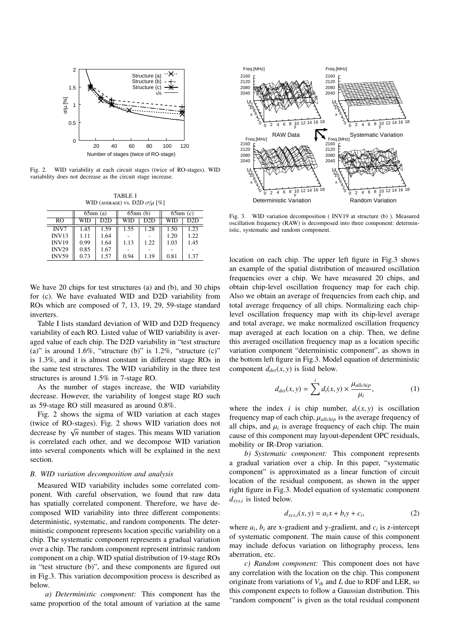

Fig. 2. WID variability at each circuit stages (twice of RO-stages). WID variability does not decrease as the circuit stage increase.

TABLE I WID (AVERAGE) VS. D2D  $\sigma/\mu$  [%]

|              | $65nm$ (a) |      | 65nm(b) |      | $65nm$ (c) |      |
|--------------|------------|------|---------|------|------------|------|
| RO           | WID        | D2D  | WID     | D2D  | <b>WID</b> | D2D  |
| INV7         | 1.45       | 1.59 | 1.55    | 1.28 | 1.50       | 1.23 |
| <b>INV13</b> | 1.11       | 1.64 |         |      | 1.20       | 1.22 |
| <b>INV19</b> | 0.99       | 1.64 | 1.13    | 1.22 | 1.03       | 1.45 |
| <b>INV29</b> | 0.85       | 1.67 |         |      |            |      |
| <b>INV59</b> | 0.73       | 1.57 | 0.94    | 1.19 | 0.81       | 1.37 |

We have 20 chips for test structures (a) and (b), and 30 chips for (c). We have evaluated WID and D2D variability from ROs which are composed of 7, 13, 19, 29, 59-stage standard inverters.

Table I lists standard deviation of WID and D2D frequency variability of each RO. Listed value of WID variability is averaged value of each chip. The D2D variability in "test structure (a)" is around  $1.6\%$ , "structure (b)" is  $1.2\%$ , "structure (c)" is 1.3%, and it is almost constant in different stage ROs in the same test structures. The WID variability in the three test structures is around 1.5% in 7-stage RO.

As the number of stages increase, the WID variability decrease. However, the variability of longest stage RO such as 59-stage RO still measured as around 0.8%.

Fig. 2 shows the sigma of WID variation at each stages (twice of RO-stages). Fig. 2 shows WID variation does not (twice of RO-stages). Fig. 2 shows will variation does not decrease by  $\sqrt{n}$  number of stages. This means WID variation is correlated each other, and we decompose WID variation into several components which will be explained in the next section.

# *B. WID variation decomposition and analysis*

Measured WID variability includes some correlated component. With careful observation, we found that raw data has spatially correlated component. Therefore, we have decomposed WID variability into three different components: deterministic, systematic, and random components. The deterministic component represents location specific variability on a chip. The systematic component represents a gradual variation over a chip. The random component represent intrinsic random component on a chip. WID spatial distribution of 19-stage ROs in "test structure (b)", and these components are figured out in Fig.3. This variation decomposition process is described as below.

*a) Deterministic component:* This component has the same proportion of the total amount of variation at the same



Fig. 3. WID variation decomposition ( INV19 at structure (b) ). Measured oscillation frequency (RAW) is decomposed into three component: deterministic, systematic and random component.

location on each chip. The upper left figure in Fig.3 shows an example of the spatial distribution of measured oscillation frequencies over a chip. We have measured 20 chips, and obtain chip-level oscillation frequency map for each chip. Also we obtain an average of frequencies from each chip, and total average frequency of all chips. Normalizing each chiplevel oscillation frequency map with its chip-level average and total average, we make normalized oscillation frequency map averaged at each location on a chip. Then, we define this averaged oscillation frequency map as a location specific variation component "deterministic component", as shown in the bottom left figure in Fig.3. Model equation of deterministic component  $d_{det}(x, y)$  is listd below.

$$
d_{det}(x, y) = \sum_{i=1}^{i} d_i(x, y) \times \frac{\mu_{allchip}}{\mu_i},
$$
 (1)

where the index *i* is chip number,  $d_i(x, y)$  is oscillation frequency map of each chip,  $\mu_{\text{allchip}}$  is the average frequency of all chips, and  $\mu_i$  is average frequency of each chip. The main cause of this component may layout-dependent OPC residuals, mobility or IR-Drop variation.

*b) Systematic component:* This component represents a gradual variation over a chip. In this paper, "systematic component" is approximated as a linear function of circuit location of the residual component, as shown in the upper right figure in Fig.3. Model equation of systematic component *dsys*,*<sup>i</sup>* is listed below.

$$
d_{sys,i}(x, y) = a_i x + b_i y + c_i,
$$
\n<sup>(2)</sup>

where  $a_i$ ,  $b_i$  are x-gradient and y-gradient, and  $c_i$  is z-intercept of systematic component. The main cause of this component may include defocus variation on lithography process, lens aberration, etc.

*c) Random component:* This component does not have any correlation with the location on the chip. This component originate from variations of *Vth* and *L* due to RDF and LER, so this component expects to follow a Gaussian distribution. This "random component" is given as the total residual component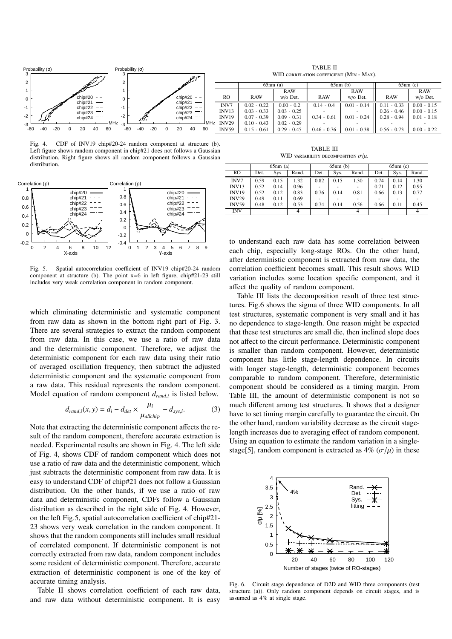

Fig. 4. CDF of INV19 chip#20-24 random component at structure (b). Left figure shows random component in chip#21 does not follows a Gaussian distribution. Right figure shows all random component follows a Gaussian distribution.



Fig. 5. Spatial autocorrelation coefficient of INV19 chip#20-24 random component at structure (b). The point x=6 in left figure, chip#21-23 still includes very weak correlation component in random component.

which eliminating deterministic and systematic component from raw data as shown in the bottom right part of Fig. 3. There are several strategies to extract the random component from raw data. In this case, we use a ratio of raw data and the deterministic component. Therefore, we adjust the deterministic component for each raw data using their ratio of averaged oscillation frequency, then subtract the adjusted deterministic component and the systematic component from a raw data. This residual represents the random component. Model equation of random component *drand*,*<sup>i</sup>* is listed below.

$$
d_{rand,i}(x, y) = d_i - d_{det} \times \frac{\mu_i}{\mu_{allchip}} - d_{sys,i}.
$$
 (3)

Note that extracting the deterministic component affects the result of the random component, therefore accurate extraction is needed. Experimental results are shown in Fig. 4. The left side of Fig. 4, shows CDF of random component which does not use a ratio of raw data and the deterministic component, which just subtracts the deterministic component from raw data. It is easy to understand CDF of chip#21 does not follow a Gaussian distribution. On the other hands, if we use a ratio of raw data and deterministic component, CDFs follow a Gaussian distribution as described in the right side of Fig. 4. However, on the left Fig.5, spatial autocorrelation coefficient of chip#21- 23 shows very weak correlation in the random component. It shows that the random components still includes small residual of correlated component. If deterministic component is not correctly extracted from raw data, random component includes some resident of deterministic component. Therefore, accurate extraction of deterministic component is one of the key of accurate timing analysis.

Table II shows correlation coefficient of each raw data, and raw data without deterministic component. It is easy

TABLE III WID variability decomposition  $\sigma / \mu$ .

|              | $65nm$ (a) |      |       | $65nm$ (b) |      |                          | $65nm$ (c) |      |       |
|--------------|------------|------|-------|------------|------|--------------------------|------------|------|-------|
| RO.          | Det.       | Sys. | Rand. | Det.       | Sys. | Rand.                    | Det.       | Sys. | Rand. |
| INV7         | 0.59       | 0.15 | 1.32  | 0.82       | 0.15 | 1.30                     | 0.74       | 0.14 | 1.30  |
| INV13        | 0.52       | 0.14 | 0.96  | ۰          |      |                          | 0.71       | 0.12 | 0.95  |
| <b>INV19</b> | 0.52       | 0.12 | 0.83  | 0.76       | 0.14 | 0.81                     | 0.66       | 0.13 | 0.77  |
| <b>INV29</b> | 0.49       | 0.11 | 0.69  | ٠          |      | $\overline{\phantom{0}}$ | ۰          |      |       |
| <b>INV59</b> | 0.48       | 0.12 | 0.53  | 0.74       | 0.14 | 0.56                     | 0.66       | 0.11 | 0.45  |
| <b>INV</b>   |            |      | 4     |            |      | 4                        |            |      |       |

to understand each raw data has some correlation between each chip, especially long-stage ROs. On the other hand, after deterministic component is extracted from raw data, the correlation coefficient becomes small. This result shows WID variation includes some location specific component, and it affect the quality of random component.

Table III lists the decomposition result of three test structures. Fig.6 shows the sigma of three WID components. In all test structures, systematic component is very small and it has no dependence to stage-length. One reason might be expected that these test structures are small die, then inclined slope does not affect to the circuit performance. Deterministic component is smaller than random component. However, deterministic component has little stage-length dependence. In circuits with longer stage-length, deterministic component becomes comparable to random component. Therefore, deterministic component should be considered as a timing margin. From Table III, the amount of deterministic component is not so much different among test structures. It shows that a designer have to set timing margin carefully to guarantee the circuit. On the other hand, random variability decrease as the circuit stagelength increases due to averaging effect of random component. Using an equation to estimate the random variation in a singlestage[5], random component is extracted as  $4\%$  ( $\sigma/\mu$ ) in these



Fig. 6. Circuit stage dependence of D2D and WID three components (test structure (a)). Only random component depends on circuit stages, and is assumed as 4% at single stage.